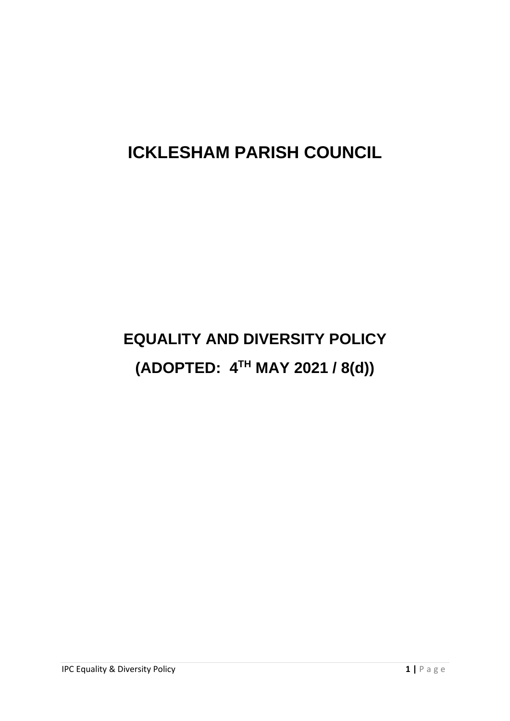## **ICKLESHAM PARISH COUNCIL**

# **EQUALITY AND DIVERSITY POLICY (ADOPTED: 4TH MAY 2021 / 8(d))**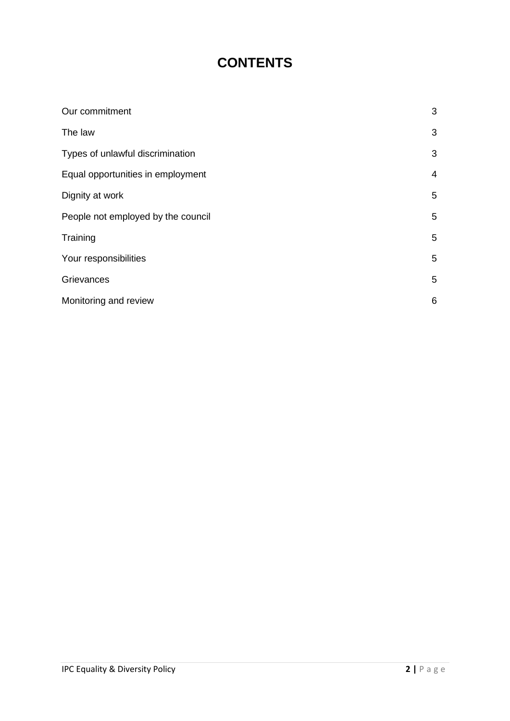### **CONTENTS**

| Our commitment                     | 3              |
|------------------------------------|----------------|
| The law                            | 3              |
| Types of unlawful discrimination   | 3              |
| Equal opportunities in employment  | $\overline{4}$ |
| Dignity at work                    | 5              |
| People not employed by the council | 5              |
| Training                           | 5              |
| Your responsibilities              | 5              |
| Grievances                         | 5              |
| Monitoring and review              | 6              |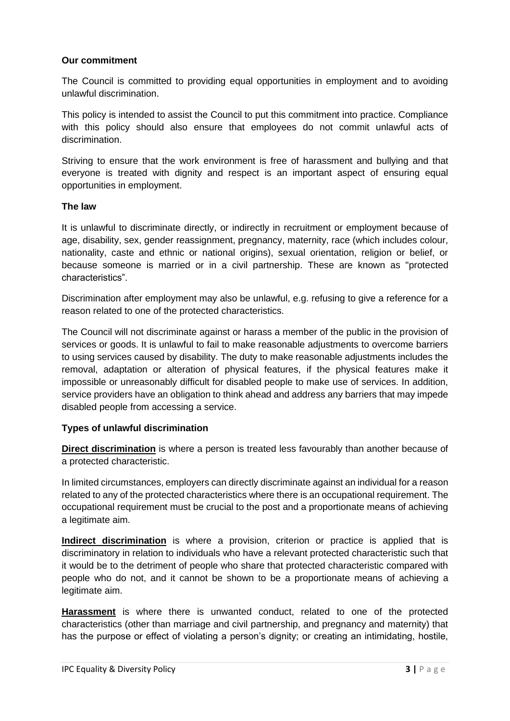#### **Our commitment**

The Council is committed to providing equal opportunities in employment and to avoiding unlawful discrimination.

This policy is intended to assist the Council to put this commitment into practice. Compliance with this policy should also ensure that employees do not commit unlawful acts of discrimination.

Striving to ensure that the work environment is free of harassment and bullying and that everyone is treated with dignity and respect is an important aspect of ensuring equal opportunities in employment.

#### **The law**

It is unlawful to discriminate directly, or indirectly in recruitment or employment because of age, disability, sex, gender reassignment, pregnancy, maternity, race (which includes colour, nationality, caste and ethnic or national origins), sexual orientation, religion or belief, or because someone is married or in a civil partnership. These are known as "protected characteristics".

Discrimination after employment may also be unlawful, e.g. refusing to give a reference for a reason related to one of the protected characteristics.

The Council will not discriminate against or harass a member of the public in the provision of services or goods. It is unlawful to fail to make reasonable adjustments to overcome barriers to using services caused by disability. The duty to make reasonable adjustments includes the removal, adaptation or alteration of physical features, if the physical features make it impossible or unreasonably difficult for disabled people to make use of services. In addition, service providers have an obligation to think ahead and address any barriers that may impede disabled people from accessing a service.

#### **Types of unlawful discrimination**

**Direct discrimination** is where a person is treated less favourably than another because of a protected characteristic.

In limited circumstances, employers can directly discriminate against an individual for a reason related to any of the protected characteristics where there is an occupational requirement. The occupational requirement must be crucial to the post and a proportionate means of achieving a legitimate aim.

**Indirect discrimination** is where a provision, criterion or practice is applied that is discriminatory in relation to individuals who have a relevant protected characteristic such that it would be to the detriment of people who share that protected characteristic compared with people who do not, and it cannot be shown to be a proportionate means of achieving a legitimate aim.

**Harassment** is where there is unwanted conduct, related to one of the protected characteristics (other than marriage and civil partnership, and pregnancy and maternity) that has the purpose or effect of violating a person's dignity; or creating an intimidating, hostile,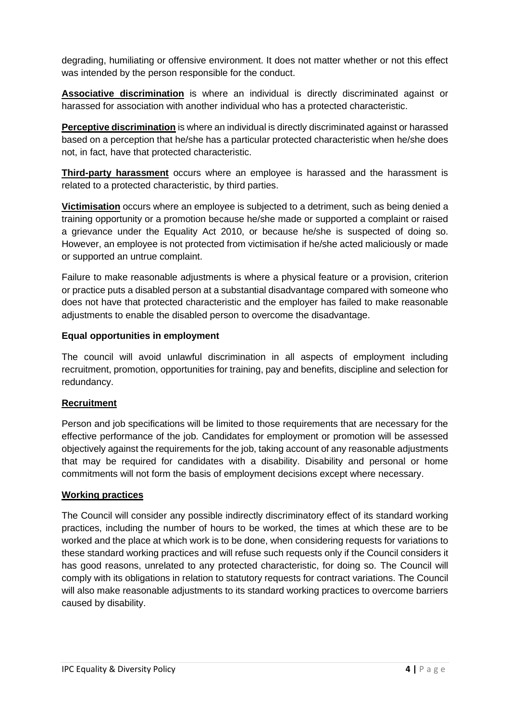degrading, humiliating or offensive environment. It does not matter whether or not this effect was intended by the person responsible for the conduct.

**Associative discrimination** is where an individual is directly discriminated against or harassed for association with another individual who has a protected characteristic.

**Perceptive discrimination** is where an individual is directly discriminated against or harassed based on a perception that he/she has a particular protected characteristic when he/she does not, in fact, have that protected characteristic.

**Third-party harassment** occurs where an employee is harassed and the harassment is related to a protected characteristic, by third parties.

**Victimisation** occurs where an employee is subjected to a detriment, such as being denied a training opportunity or a promotion because he/she made or supported a complaint or raised a grievance under the Equality Act 2010, or because he/she is suspected of doing so. However, an employee is not protected from victimisation if he/she acted maliciously or made or supported an untrue complaint.

Failure to make reasonable adjustments is where a physical feature or a provision, criterion or practice puts a disabled person at a substantial disadvantage compared with someone who does not have that protected characteristic and the employer has failed to make reasonable adjustments to enable the disabled person to overcome the disadvantage.

#### **Equal opportunities in employment**

The council will avoid unlawful discrimination in all aspects of employment including recruitment, promotion, opportunities for training, pay and benefits, discipline and selection for redundancy.

#### **Recruitment**

Person and job specifications will be limited to those requirements that are necessary for the effective performance of the job. Candidates for employment or promotion will be assessed objectively against the requirements for the job, taking account of any reasonable adjustments that may be required for candidates with a disability. Disability and personal or home commitments will not form the basis of employment decisions except where necessary.

#### **Working practices**

The Council will consider any possible indirectly discriminatory effect of its standard working practices, including the number of hours to be worked, the times at which these are to be worked and the place at which work is to be done, when considering requests for variations to these standard working practices and will refuse such requests only if the Council considers it has good reasons, unrelated to any protected characteristic, for doing so. The Council will comply with its obligations in relation to statutory requests for contract variations. The Council will also make reasonable adjustments to its standard working practices to overcome barriers caused by disability.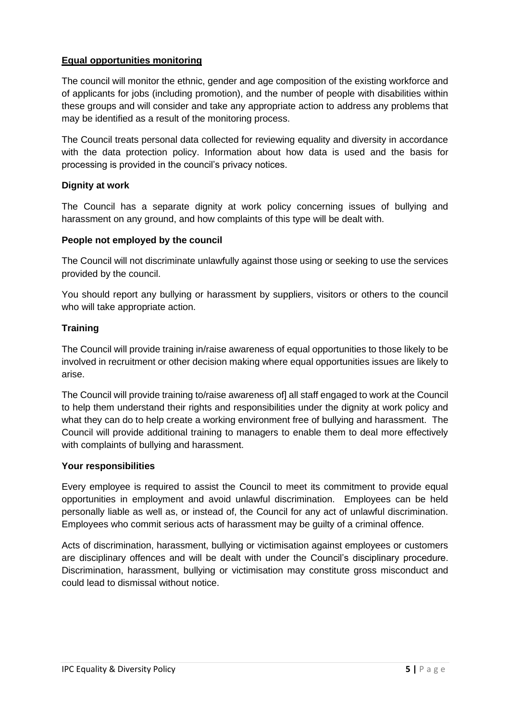#### **Equal opportunities monitoring**

The council will monitor the ethnic, gender and age composition of the existing workforce and of applicants for jobs (including promotion), and the number of people with disabilities within these groups and will consider and take any appropriate action to address any problems that may be identified as a result of the monitoring process.

The Council treats personal data collected for reviewing equality and diversity in accordance with the data protection policy. Information about how data is used and the basis for processing is provided in the council's privacy notices.

#### **Dignity at work**

The Council has a separate dignity at work policy concerning issues of bullying and harassment on any ground, and how complaints of this type will be dealt with.

#### **People not employed by the council**

The Council will not discriminate unlawfully against those using or seeking to use the services provided by the council.

You should report any bullying or harassment by suppliers, visitors or others to the council who will take appropriate action.

#### **Training**

The Council will provide training in/raise awareness of equal opportunities to those likely to be involved in recruitment or other decision making where equal opportunities issues are likely to arise.

The Council will provide training to/raise awareness of] all staff engaged to work at the Council to help them understand their rights and responsibilities under the dignity at work policy and what they can do to help create a working environment free of bullying and harassment. The Council will provide additional training to managers to enable them to deal more effectively with complaints of bullying and harassment.

#### **Your responsibilities**

Every employee is required to assist the Council to meet its commitment to provide equal opportunities in employment and avoid unlawful discrimination. Employees can be held personally liable as well as, or instead of, the Council for any act of unlawful discrimination. Employees who commit serious acts of harassment may be guilty of a criminal offence.

Acts of discrimination, harassment, bullying or victimisation against employees or customers are disciplinary offences and will be dealt with under the Council's disciplinary procedure. Discrimination, harassment, bullying or victimisation may constitute gross misconduct and could lead to dismissal without notice.